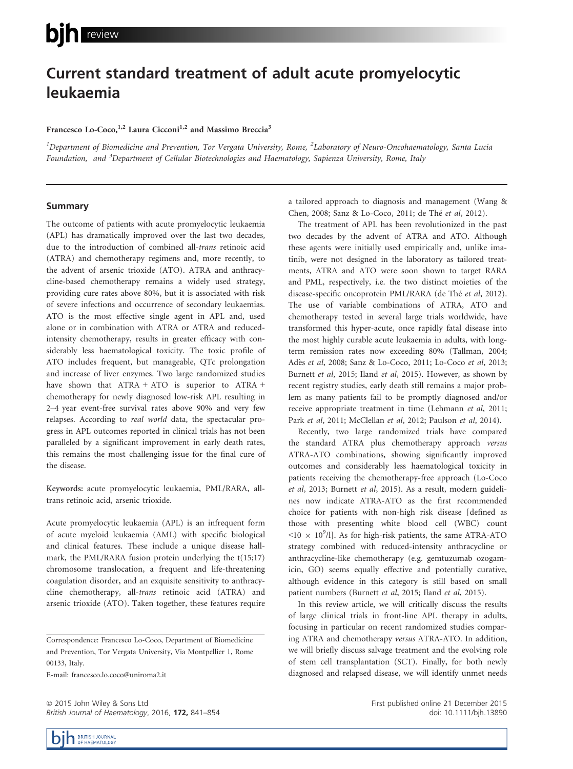# Current standard treatment of adult acute promyelocytic leukaemia

## Francesco Lo-Coco,<sup>1,2</sup> Laura Cicconi<sup>1,2</sup> and Massimo Breccia<sup>3</sup>

 $^1$ Department of Biomedicine and Prevention, Tor Vergata University, Rome,  $^2$ Laboratory of Neuro-Oncohaematology, Santa Lucia Foundation, and <sup>3</sup>Department of Cellular Biotechnologies and Haematology, Sapienza University, Rome, Italy

#### Summary

The outcome of patients with acute promyelocytic leukaemia (APL) has dramatically improved over the last two decades, due to the introduction of combined all-trans retinoic acid (ATRA) and chemotherapy regimens and, more recently, to the advent of arsenic trioxide (ATO). ATRA and anthracycline-based chemotherapy remains a widely used strategy, providing cure rates above 80%, but it is associated with risk of severe infections and occurrence of secondary leukaemias. ATO is the most effective single agent in APL and, used alone or in combination with ATRA or ATRA and reducedintensity chemotherapy, results in greater efficacy with considerably less haematological toxicity. The toxic profile of ATO includes frequent, but manageable, QTc prolongation and increase of liver enzymes. Two large randomized studies have shown that ATRA + ATO is superior to ATRA + chemotherapy for newly diagnosed low-risk APL resulting in 2–4 year event-free survival rates above 90% and very few relapses. According to real world data, the spectacular progress in APL outcomes reported in clinical trials has not been paralleled by a significant improvement in early death rates, this remains the most challenging issue for the final cure of the disease.

Keywords: acute promyelocytic leukaemia, PML/RARA, alltrans retinoic acid, arsenic trioxide.

Acute promyelocytic leukaemia (APL) is an infrequent form of acute myeloid leukaemia (AML) with specific biological and clinical features. These include a unique disease hallmark, the PML/RARA fusion protein underlying the t(15;17) chromosome translocation, a frequent and life-threatening coagulation disorder, and an exquisite sensitivity to anthracycline chemotherapy, all-trans retinoic acid (ATRA) and arsenic trioxide (ATO). Taken together, these features require

Correspondence: Francesco Lo-Coco, Department of Biomedicine and Prevention, Tor Vergata University, Via Montpellier 1, Rome 00133, Italy.

E-mail: francesco.lo.coco@uniroma2.it

ª 2015 John Wiley & Sons Ltd British Journal of Haematology, 2016, 172, 841–854 a tailored approach to diagnosis and management (Wang & Chen, 2008; Sanz & Lo-Coco, 2011; de The et al, 2012).

The treatment of APL has been revolutionized in the past two decades by the advent of ATRA and ATO. Although these agents were initially used empirically and, unlike imatinib, were not designed in the laboratory as tailored treatments, ATRA and ATO were soon shown to target RARA and PML, respectively, i.e. the two distinct moieties of the disease-specific oncoprotein PML/RARA (de Thé et al, 2012). The use of variable combinations of ATRA, ATO and chemotherapy tested in several large trials worldwide, have transformed this hyper-acute, once rapidly fatal disease into the most highly curable acute leukaemia in adults, with longterm remission rates now exceeding 80% (Tallman, 2004; Ades et al, 2008; Sanz & Lo-Coco, 2011; Lo-Coco et al, 2013; Burnett et al, 2015; Iland et al, 2015). However, as shown by recent registry studies, early death still remains a major problem as many patients fail to be promptly diagnosed and/or receive appropriate treatment in time (Lehmann et al, 2011; Park et al, 2011; McClellan et al, 2012; Paulson et al, 2014).

Recently, two large randomized trials have compared the standard ATRA plus chemotherapy approach versus ATRA-ATO combinations, showing significantly improved outcomes and considerably less haematological toxicity in patients receiving the chemotherapy-free approach (Lo-Coco et al, 2013; Burnett et al, 2015). As a result, modern guidelines now indicate ATRA-ATO as the first recommended choice for patients with non-high risk disease [defined as those with presenting white blood cell (WBC) count  $\langle 10 \times 10^9 / l$ ]. As for high-risk patients, the same ATRA-ATO strategy combined with reduced-intensity anthracycline or anthracycline-like chemotherapy (e.g. gemtuzumab ozogamicin, GO) seems equally effective and potentially curative, although evidence in this category is still based on small patient numbers (Burnett et al, 2015; Iland et al, 2015).

In this review article, we will critically discuss the results of large clinical trials in front-line APL therapy in adults, focusing in particular on recent randomized studies comparing ATRA and chemotherapy versus ATRA-ATO. In addition, we will briefly discuss salvage treatment and the evolving role of stem cell transplantation (SCT). Finally, for both newly diagnosed and relapsed disease, we will identify unmet needs

> First published online 21 December 2015 doi: 10.1111/bjh.13890

BRITISH JOURNAL<br>OF HAEMATOLOGY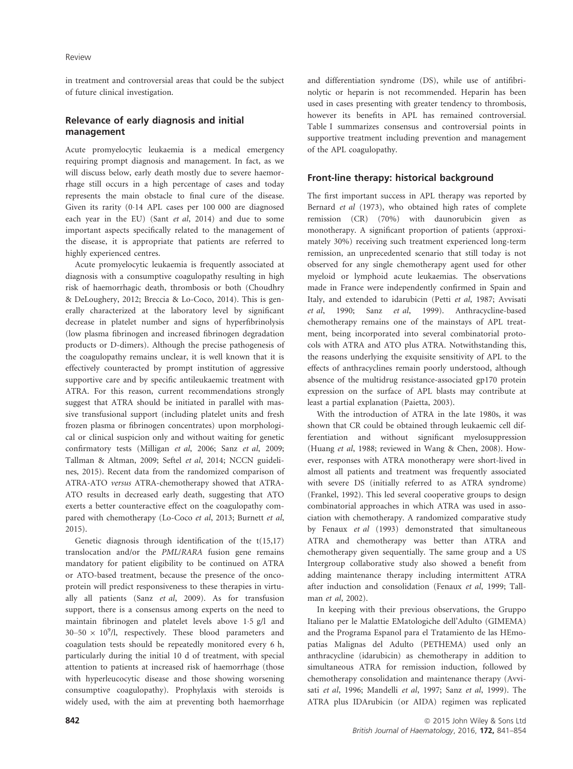in treatment and controversial areas that could be the subject of future clinical investigation.

# Relevance of early diagnosis and initial management

Acute promyelocytic leukaemia is a medical emergency requiring prompt diagnosis and management. In fact, as we will discuss below, early death mostly due to severe haemorrhage still occurs in a high percentage of cases and today represents the main obstacle to final cure of the disease. Given its rarity (014 APL cases per 100 000 are diagnosed each year in the EU) (Sant et al, 2014) and due to some important aspects specifically related to the management of the disease, it is appropriate that patients are referred to highly experienced centres.

Acute promyelocytic leukaemia is frequently associated at diagnosis with a consumptive coagulopathy resulting in high risk of haemorrhagic death, thrombosis or both (Choudhry & DeLoughery, 2012; Breccia & Lo-Coco, 2014). This is generally characterized at the laboratory level by significant decrease in platelet number and signs of hyperfibrinolysis (low plasma fibrinogen and increased fibrinogen degradation products or D-dimers). Although the precise pathogenesis of the coagulopathy remains unclear, it is well known that it is effectively counteracted by prompt institution of aggressive supportive care and by specific antileukaemic treatment with ATRA. For this reason, current recommendations strongly suggest that ATRA should be initiated in parallel with massive transfusional support (including platelet units and fresh frozen plasma or fibrinogen concentrates) upon morphological or clinical suspicion only and without waiting for genetic confirmatory tests (Milligan et al, 2006; Sanz et al, 2009; Tallman & Altman, 2009; Seftel et al, 2014; NCCN guidelines, 2015). Recent data from the randomized comparison of ATRA-ATO versus ATRA-chemotherapy showed that ATRA-ATO results in decreased early death, suggesting that ATO exerts a better counteractive effect on the coagulopathy compared with chemotherapy (Lo-Coco et al, 2013; Burnett et al, 2015).

Genetic diagnosis through identification of the t(15,17) translocation and/or the PML/RARA fusion gene remains mandatory for patient eligibility to be continued on ATRA or ATO-based treatment, because the presence of the oncoprotein will predict responsiveness to these therapies in virtually all patients (Sanz et al, 2009). As for transfusion support, there is a consensus among experts on the need to maintain fibrinogen and platelet levels above 15 g/l and 30–50  $\times$  10<sup>9</sup>/l, respectively. These blood parameters and coagulation tests should be repeatedly monitored every 6 h, particularly during the initial 10 d of treatment, with special attention to patients at increased risk of haemorrhage (those with hyperleucocytic disease and those showing worsening consumptive coagulopathy). Prophylaxis with steroids is widely used, with the aim at preventing both haemorrhage and differentiation syndrome (DS), while use of antifibrinolytic or heparin is not recommended. Heparin has been used in cases presenting with greater tendency to thrombosis, however its benefits in APL has remained controversial. Table I summarizes consensus and controversial points in supportive treatment including prevention and management of the APL coagulopathy.

# Front-line therapy: historical background

The first important success in APL therapy was reported by Bernard et al (1973), who obtained high rates of complete remission (CR) (70%) with daunorubicin given as monotherapy. A significant proportion of patients (approximately 30%) receiving such treatment experienced long-term remission, an unprecedented scenario that still today is not observed for any single chemotherapy agent used for other myeloid or lymphoid acute leukaemias. The observations made in France were independently confirmed in Spain and Italy, and extended to idarubicin (Petti et al, 1987; Avvisati et al, 1990; Sanz et al, 1999). Anthracycline-based chemotherapy remains one of the mainstays of APL treatment, being incorporated into several combinatorial protocols with ATRA and ATO plus ATRA. Notwithstanding this, the reasons underlying the exquisite sensitivity of APL to the effects of anthracyclines remain poorly understood, although absence of the multidrug resistance-associated gp170 protein expression on the surface of APL blasts may contribute at least a partial explanation (Paietta, 2003).

With the introduction of ATRA in the late 1980s, it was shown that CR could be obtained through leukaemic cell differentiation and without significant myelosuppression (Huang et al, 1988; reviewed in Wang & Chen, 2008). However, responses with ATRA monotherapy were short-lived in almost all patients and treatment was frequently associated with severe DS (initially referred to as ATRA syndrome) (Frankel, 1992). This led several cooperative groups to design combinatorial approaches in which ATRA was used in association with chemotherapy. A randomized comparative study by Fenaux et al (1993) demonstrated that simultaneous ATRA and chemotherapy was better than ATRA and chemotherapy given sequentially. The same group and a US Intergroup collaborative study also showed a benefit from adding maintenance therapy including intermittent ATRA after induction and consolidation (Fenaux et al, 1999; Tallman et al, 2002).

In keeping with their previous observations, the Gruppo Italiano per le Malattie EMatologiche dell'Adulto (GIMEMA) and the Programa Espanol para el Tratamiento de las HEmopatias Malignas del Adulto (PETHEMA) used only an anthracycline (idarubicin) as chemotherapy in addition to simultaneous ATRA for remission induction, followed by chemotherapy consolidation and maintenance therapy (Avvisati et al, 1996; Mandelli et al, 1997; Sanz et al, 1999). The ATRA plus IDArubicin (or AIDA) regimen was replicated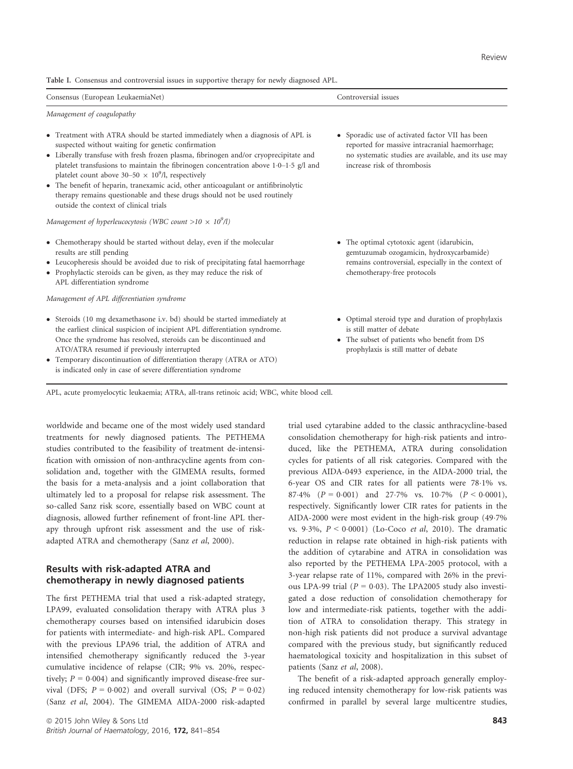Table I. Consensus and controversial issues in supportive therapy for newly diagnosed APL.

| Controversial issues                                                                                                                                                                     |
|------------------------------------------------------------------------------------------------------------------------------------------------------------------------------------------|
|                                                                                                                                                                                          |
| • Sporadic use of activated factor VII has been<br>reported for massive intracranial haemorrhage;<br>no systematic studies are available, and its use may<br>increase risk of thrombosis |
| • The optimal cytotoxic agent (idarubicin,<br>gemtuzumab ozogamicin, hydroxycarbamide)<br>remains controversial, especially in the context of<br>chemotherapy-free protocols             |
|                                                                                                                                                                                          |

- Steroids (10 mg dexamethasone i.v. bd) should be started immediately at the earliest clinical suspicion of incipient APL differentiation syndrome. Once the syndrome has resolved, steroids can be discontinued and ATO/ATRA resumed if previously interrupted
- Temporary discontinuation of differentiation therapy (ATRA or ATO) is indicated only in case of severe differentiation syndrome
- Optimal steroid type and duration of prophylaxis is still matter of debate
- The subset of patients who benefit from DS prophylaxis is still matter of debate

APL, acute promyelocytic leukaemia; ATRA, all-trans retinoic acid; WBC, white blood cell.

worldwide and became one of the most widely used standard treatments for newly diagnosed patients. The PETHEMA studies contributed to the feasibility of treatment de-intensification with omission of non-anthracycline agents from consolidation and, together with the GIMEMA results, formed the basis for a meta-analysis and a joint collaboration that ultimately led to a proposal for relapse risk assessment. The so-called Sanz risk score, essentially based on WBC count at diagnosis, allowed further refinement of front-line APL therapy through upfront risk assessment and the use of riskadapted ATRA and chemotherapy (Sanz et al, 2000).

# Results with risk-adapted ATRA and chemotherapy in newly diagnosed patients

The first PETHEMA trial that used a risk-adapted strategy, LPA99, evaluated consolidation therapy with ATRA plus 3 chemotherapy courses based on intensified idarubicin doses for patients with intermediate- and high-risk APL. Compared with the previous LPA96 trial, the addition of ATRA and intensified chemotherapy significantly reduced the 3-year cumulative incidence of relapse (CIR; 9% vs. 20%, respectively;  $P = 0.004$ ) and significantly improved disease-free survival (DFS;  $P = 0.002$ ) and overall survival (OS;  $P = 0.02$ ) (Sanz et al, 2004). The GIMEMA AIDA-2000 risk-adapted trial used cytarabine added to the classic anthracycline-based consolidation chemotherapy for high-risk patients and introduced, like the PETHEMA, ATRA during consolidation cycles for patients of all risk categories. Compared with the previous AIDA-0493 experience, in the AIDA-2000 trial, the 6-year OS and CIR rates for all patients were 781% vs. 87.4%  $(P = 0.001)$  and 27.7% vs. 10.7%  $(P < 0.0001)$ , respectively. Significantly lower CIR rates for patients in the AIDA-2000 were most evident in the high-risk group (497% vs. 9.3%,  $P < 0.0001$ ) (Lo-Coco et al, 2010). The dramatic reduction in relapse rate obtained in high-risk patients with the addition of cytarabine and ATRA in consolidation was also reported by the PETHEMA LPA-2005 protocol, with a 3-year relapse rate of 11%, compared with 26% in the previous LPA-99 trial ( $P = 0.03$ ). The LPA2005 study also investigated a dose reduction of consolidation chemotherapy for low and intermediate-risk patients, together with the addition of ATRA to consolidation therapy. This strategy in non-high risk patients did not produce a survival advantage compared with the previous study, but significantly reduced haematological toxicity and hospitalization in this subset of patients (Sanz et al, 2008).

The benefit of a risk-adapted approach generally employing reduced intensity chemotherapy for low-risk patients was confirmed in parallel by several large multicentre studies,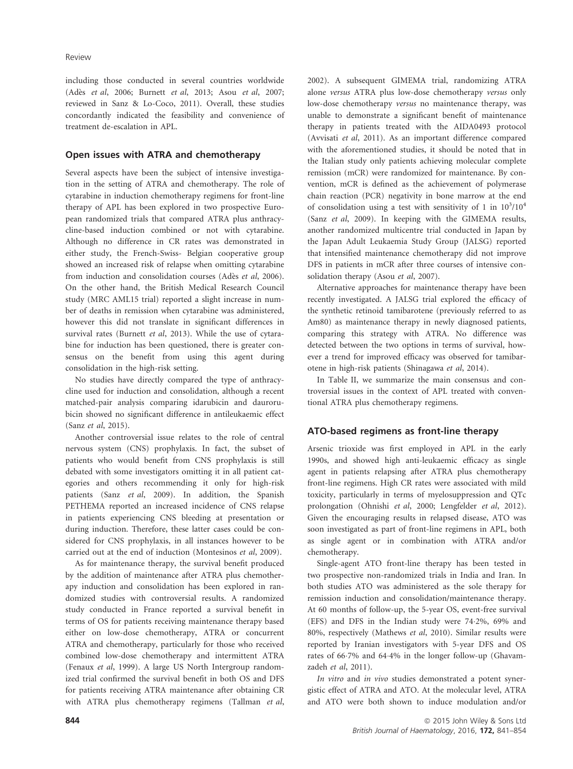including those conducted in several countries worldwide (Adès et al, 2006; Burnett et al, 2013; Asou et al, 2007; reviewed in Sanz & Lo-Coco, 2011). Overall, these studies concordantly indicated the feasibility and convenience of treatment de-escalation in APL.

### Open issues with ATRA and chemotherapy

Several aspects have been the subject of intensive investigation in the setting of ATRA and chemotherapy. The role of cytarabine in induction chemotherapy regimens for front-line therapy of APL has been explored in two prospective European randomized trials that compared ATRA plus anthracycline-based induction combined or not with cytarabine. Although no difference in CR rates was demonstrated in either study, the French-Swiss- Belgian cooperative group showed an increased risk of relapse when omitting cytarabine from induction and consolidation courses (Adès et al, 2006). On the other hand, the British Medical Research Council study (MRC AML15 trial) reported a slight increase in number of deaths in remission when cytarabine was administered, however this did not translate in significant differences in survival rates (Burnett et al, 2013). While the use of cytarabine for induction has been questioned, there is greater consensus on the benefit from using this agent during consolidation in the high-risk setting.

No studies have directly compared the type of anthracycline used for induction and consolidation, although a recent matched-pair analysis comparing idarubicin and daurorubicin showed no significant difference in antileukaemic effect (Sanz et al, 2015).

Another controversial issue relates to the role of central nervous system (CNS) prophylaxis. In fact, the subset of patients who would benefit from CNS prophylaxis is still debated with some investigators omitting it in all patient categories and others recommending it only for high-risk patients (Sanz et al, 2009). In addition, the Spanish PETHEMA reported an increased incidence of CNS relapse in patients experiencing CNS bleeding at presentation or during induction. Therefore, these latter cases could be considered for CNS prophylaxis, in all instances however to be carried out at the end of induction (Montesinos et al, 2009).

As for maintenance therapy, the survival benefit produced by the addition of maintenance after ATRA plus chemotherapy induction and consolidation has been explored in randomized studies with controversial results. A randomized study conducted in France reported a survival benefit in terms of OS for patients receiving maintenance therapy based either on low-dose chemotherapy, ATRA or concurrent ATRA and chemotherapy, particularly for those who received combined low-dose chemotherapy and intermittent ATRA (Fenaux et al, 1999). A large US North Intergroup randomized trial confirmed the survival benefit in both OS and DFS for patients receiving ATRA maintenance after obtaining CR with ATRA plus chemotherapy regimens (Tallman et al, 2002). A subsequent GIMEMA trial, randomizing ATRA alone versus ATRA plus low-dose chemotherapy versus only low-dose chemotherapy versus no maintenance therapy, was unable to demonstrate a significant benefit of maintenance therapy in patients treated with the AIDA0493 protocol (Avvisati et al, 2011). As an important difference compared with the aforementioned studies, it should be noted that in the Italian study only patients achieving molecular complete remission (mCR) were randomized for maintenance. By convention, mCR is defined as the achievement of polymerase chain reaction (PCR) negativity in bone marrow at the end of consolidation using a test with sensitivity of 1 in  $10^3/10^4$ (Sanz et al, 2009). In keeping with the GIMEMA results, another randomized multicentre trial conducted in Japan by the Japan Adult Leukaemia Study Group (JALSG) reported that intensified maintenance chemotherapy did not improve DFS in patients in mCR after three courses of intensive consolidation therapy (Asou et al, 2007).

Alternative approaches for maintenance therapy have been recently investigated. A JALSG trial explored the efficacy of the synthetic retinoid tamibarotene (previously referred to as Am80) as maintenance therapy in newly diagnosed patients, comparing this strategy with ATRA. No difference was detected between the two options in terms of survival, however a trend for improved efficacy was observed for tamibarotene in high-risk patients (Shinagawa et al, 2014).

In Table II, we summarize the main consensus and controversial issues in the context of APL treated with conventional ATRA plus chemotherapy regimens.

# ATO-based regimens as front-line therapy

Arsenic trioxide was first employed in APL in the early 1990s, and showed high anti-leukaemic efficacy as single agent in patients relapsing after ATRA plus chemotherapy front-line regimens. High CR rates were associated with mild toxicity, particularly in terms of myelosuppression and QTc prolongation (Ohnishi et al, 2000; Lengfelder et al, 2012). Given the encouraging results in relapsed disease, ATO was soon investigated as part of front-line regimens in APL, both as single agent or in combination with ATRA and/or chemotherapy.

Single-agent ATO front-line therapy has been tested in two prospective non-randomized trials in India and Iran. In both studies ATO was administered as the sole therapy for remission induction and consolidation/maintenance therapy. At 60 months of follow-up, the 5-year OS, event-free survival (EFS) and DFS in the Indian study were 742%, 69% and 80%, respectively (Mathews et al, 2010). Similar results were reported by Iranian investigators with 5-year DFS and OS rates of 667% and 644% in the longer follow-up (Ghavamzadeh et al, 2011).

In vitro and in vivo studies demonstrated a potent synergistic effect of ATRA and ATO. At the molecular level, ATRA and ATO were both shown to induce modulation and/or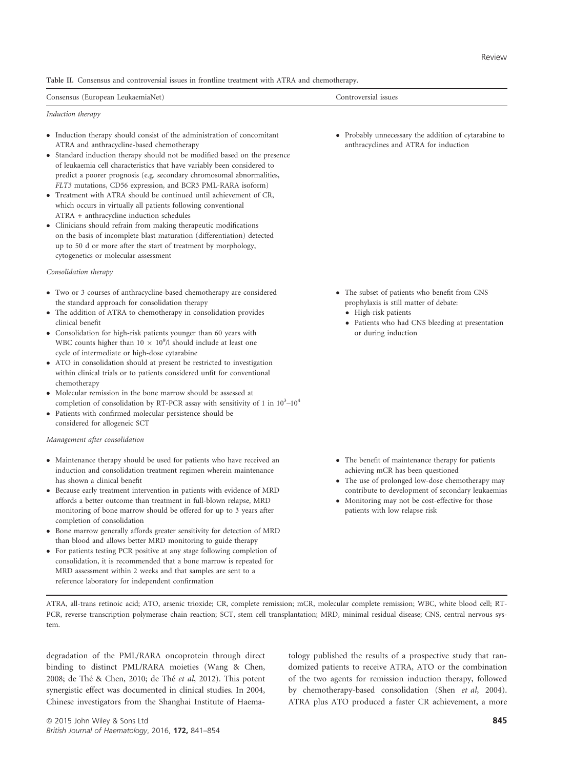Table II. Consensus and controversial issues in frontline treatment with ATRA and chemotherapy.

| f European<br>⊥eukaemiaN<br>∙mıa Net<br>Consensus<br>_ _ _ _ _ _ _ | 1SS11es<br>nn<br>514<br>. |
|--------------------------------------------------------------------|---------------------------|
|--------------------------------------------------------------------|---------------------------|

#### Induction therapy

- Induction therapy should consist of the administration of concomitant ATRA and anthracycline-based chemotherapy
- Standard induction therapy should not be modified based on the presence of leukaemia cell characteristics that have variably been considered to predict a poorer prognosis (e.g. secondary chromosomal abnormalities, FLT3 mutations, CD56 expression, and BCR3 PML-RARA isoform)
- Treatment with ATRA should be continued until achievement of CR, which occurs in virtually all patients following conventional ATRA + anthracycline induction schedules
- Clinicians should refrain from making therapeutic modifications on the basis of incomplete blast maturation (differentiation) detected up to 50 d or more after the start of treatment by morphology, cytogenetics or molecular assessment

#### Consolidation therapy

- Two or 3 courses of anthracycline-based chemotherapy are considered the standard approach for consolidation therapy
- The addition of ATRA to chemotherapy in consolidation provides clinical benefit
- Consolidation for high-risk patients younger than 60 years with WBC counts higher than  $10 \times 10^9$ /l should include at least one cycle of intermediate or high-dose cytarabine
- ATO in consolidation should at present be restricted to investigation within clinical trials or to patients considered unfit for conventional chemotherapy
- Molecular remission in the bone marrow should be assessed at completion of consolidation by RT-PCR assay with sensitivity of 1 in  $10^3$ - $10^4$
- Patients with confirmed molecular persistence should be considered for allogeneic SCT

#### Management after consolidation

- Maintenance therapy should be used for patients who have received an induction and consolidation treatment regimen wherein maintenance has shown a clinical benefit
- Because early treatment intervention in patients with evidence of MRD affords a better outcome than treatment in full-blown relapse, MRD monitoring of bone marrow should be offered for up to 3 years after completion of consolidation
- Bone marrow generally affords greater sensitivity for detection of MRD than blood and allows better MRD monitoring to guide therapy
- For patients testing PCR positive at any stage following completion of consolidation, it is recommended that a bone marrow is repeated for MRD assessment within 2 weeks and that samples are sent to a reference laboratory for independent confirmation

 Probably unnecessary the addition of cytarabine to anthracyclines and ATRA for induction

- The subset of patients who benefit from CNS prophylaxis is still matter of debate:
	- High-risk patients
	- Patients who had CNS bleeding at presentation or during induction

- The benefit of maintenance therapy for patients achieving mCR has been questioned
- The use of prolonged low-dose chemotherapy may contribute to development of secondary leukaemias
- Monitoring may not be cost-effective for those patients with low relapse risk

ATRA, all-trans retinoic acid; ATO, arsenic trioxide; CR, complete remission; mCR, molecular complete remission; WBC, white blood cell; RT-PCR, reverse transcription polymerase chain reaction; SCT, stem cell transplantation; MRD, minimal residual disease; CNS, central nervous system.

degradation of the PML/RARA oncoprotein through direct binding to distinct PML/RARA moieties (Wang & Chen, 2008; de Thé & Chen, 2010; de Thé et al, 2012). This potent synergistic effect was documented in clinical studies. In 2004, Chinese investigators from the Shanghai Institute of Haematology published the results of a prospective study that randomized patients to receive ATRA, ATO or the combination of the two agents for remission induction therapy, followed by chemotherapy-based consolidation (Shen et al, 2004). ATRA plus ATO produced a faster CR achievement, a more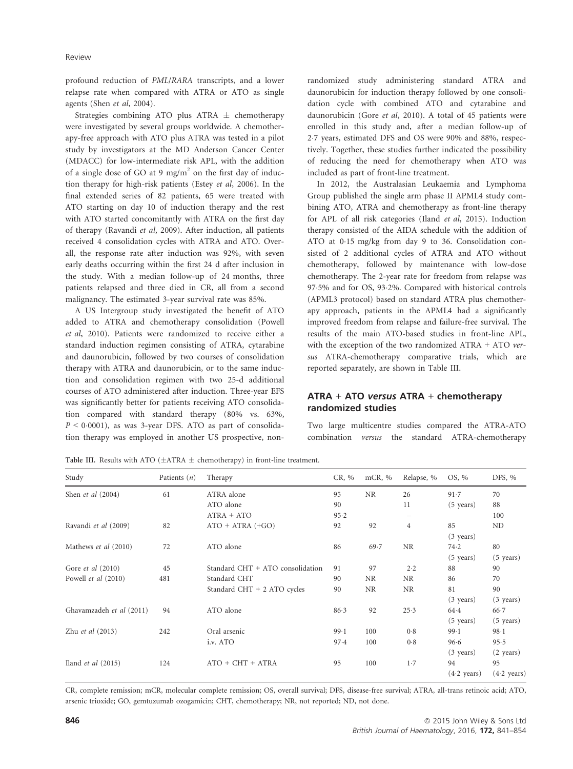profound reduction of PML/RARA transcripts, and a lower relapse rate when compared with ATRA or ATO as single agents (Shen et al, 2004).

Strategies combining ATO plus ATRA  $\pm$  chemotherapy were investigated by several groups worldwide. A chemotherapy-free approach with ATO plus ATRA was tested in a pilot study by investigators at the MD Anderson Cancer Center (MDACC) for low-intermediate risk APL, with the addition of a single dose of GO at 9 mg/m<sup>2</sup> on the first day of induction therapy for high-risk patients (Estey et al, 2006). In the final extended series of 82 patients, 65 were treated with ATO starting on day 10 of induction therapy and the rest with ATO started concomitantly with ATRA on the first day of therapy (Ravandi et al, 2009). After induction, all patients received 4 consolidation cycles with ATRA and ATO. Overall, the response rate after induction was 92%, with seven early deaths occurring within the first 24 d after inclusion in the study. With a median follow-up of 24 months, three patients relapsed and three died in CR, all from a second malignancy. The estimated 3-year survival rate was 85%.

A US Intergroup study investigated the benefit of ATO added to ATRA and chemotherapy consolidation (Powell et al, 2010). Patients were randomized to receive either a standard induction regimen consisting of ATRA, cytarabine and daunorubicin, followed by two courses of consolidation therapy with ATRA and daunorubicin, or to the same induction and consolidation regimen with two 25-d additional courses of ATO administered after induction. Three-year EFS was significantly better for patients receiving ATO consolidation compared with standard therapy (80% vs. 63%,  $P < 0.0001$ ), as was 3-year DFS. ATO as part of consolidation therapy was employed in another US prospective, nonrandomized study administering standard ATRA and daunorubicin for induction therapy followed by one consolidation cycle with combined ATO and cytarabine and daunorubicin (Gore et al, 2010). A total of 45 patients were enrolled in this study and, after a median follow-up of 27 years, estimated DFS and OS were 90% and 88%, respectively. Together, these studies further indicated the possibility of reducing the need for chemotherapy when ATO was included as part of front-line treatment.

In 2012, the Australasian Leukaemia and Lymphoma Group published the single arm phase II APML4 study combining ATO, ATRA and chemotherapy as front-line therapy for APL of all risk categories (Iland et al, 2015). Induction therapy consisted of the AIDA schedule with the addition of ATO at 015 mg/kg from day 9 to 36. Consolidation consisted of 2 additional cycles of ATRA and ATO without chemotherapy, followed by maintenance with low-dose chemotherapy. The 2-year rate for freedom from relapse was 975% and for OS, 932%. Compared with historical controls (APML3 protocol) based on standard ATRA plus chemotherapy approach, patients in the APML4 had a significantly improved freedom from relapse and failure-free survival. The results of the main ATO-based studies in front-line APL, with the exception of the two randomized ATRA + ATO versus ATRA-chemotherapy comparative trials, which are reported separately, are shown in Table III.

### ATRA + ATO versus ATRA + chemotherapy randomized studies

Two large multicentre studies compared the ATRA-ATO combination versus the standard ATRA-chemotherapy

Table III. Results with ATO ( $\pm$ ATRA  $\pm$  chemotherapy) in front-line treatment.

| Study                    | Patients $(n)$ | Therapy                          | CR, % | mCR, $%$  | Relapse, %     | OS, %                 | DFS, %                |
|--------------------------|----------------|----------------------------------|-------|-----------|----------------|-----------------------|-----------------------|
| Shen et al (2004)        | 61             | ATRA alone                       | 95    | <b>NR</b> | 26             | 91.7                  | 70                    |
|                          |                | ATO alone                        | 90    |           | 11             | $(5 \text{ years})$   | 88                    |
|                          |                | $ATRA + ATO$                     | 95.2  |           |                |                       | 100                   |
| Ravandi et al (2009)     | 82             | $ATO + ATRA (+GO)$               | 92    | 92        | $\overline{4}$ | 85                    | ND                    |
|                          |                |                                  |       |           |                | $(3 \text{ years})$   |                       |
| Mathews et al (2010)     | 72             | ATO alone                        | 86    | 69.7      | <b>NR</b>      | 74.2                  | 80                    |
|                          |                |                                  |       |           |                | $(5 \text{ years})$   | $(5 \text{ years})$   |
| Gore et al (2010)        | 45             | Standard CHT + ATO consolidation | 91    | 97        | 2.2            | 88                    | 90                    |
| Powell et al (2010)      | 481            | Standard CHT                     | 90    | NR        | NR             | 86                    | 70                    |
|                          |                | Standard CHT + 2 ATO cycles      | 90    | <b>NR</b> | <b>NR</b>      | 81                    | 90                    |
|                          |                |                                  |       |           |                | $(3 \text{ years})$   | $(3 \text{ years})$   |
| Ghavamzadeh et al (2011) | 94             | ATO alone                        | 86.3  | 92        | 25.3           | 64.4                  | $66 - 7$              |
|                          |                |                                  |       |           |                | $(5 \text{ years})$   | $(5 \text{ years})$   |
| Zhu et al (2013)         | 242            | Oral arsenic                     | 99.1  | 100       | 0.8            | 99.1                  | $98-1$                |
|                          |                | i.v. ATO                         | 97.4  | 100       | 0.8            | 96.6                  | 95.5                  |
|                          |                |                                  |       |           |                | $(3 \text{ years})$   | $(2 \text{ years})$   |
| Iland $et$ al $(2015)$   | 124            | $ATO + CHT + ATRA$               | 95    | 100       | 1.7            | 94                    | 95                    |
|                          |                |                                  |       |           |                | $(4.2 \text{ years})$ | $(4.2 \text{ years})$ |

CR, complete remission; mCR, molecular complete remission; OS, overall survival; DFS, disease-free survival; ATRA, all-trans retinoic acid; ATO, arsenic trioxide; GO, gemtuzumab ozogamicin; CHT, chemotherapy; NR, not reported; ND, not done.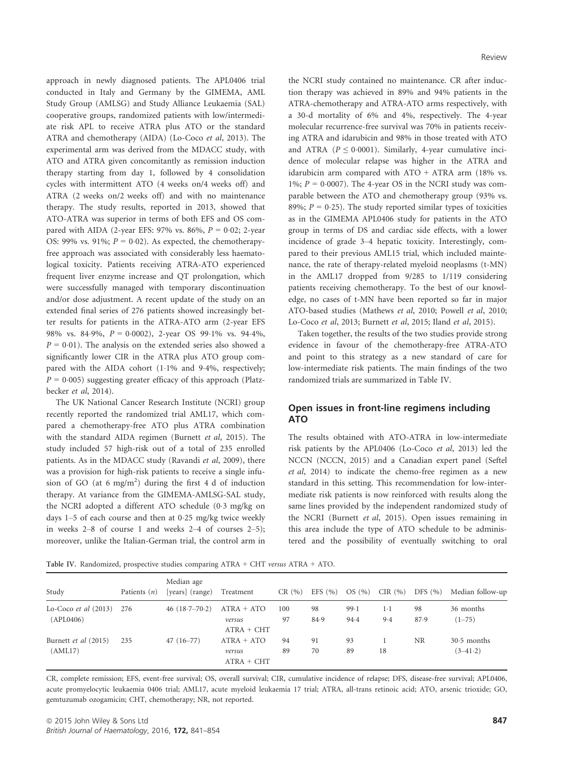approach in newly diagnosed patients. The APL0406 trial conducted in Italy and Germany by the GIMEMA, AML Study Group (AMLSG) and Study Alliance Leukaemia (SAL) cooperative groups, randomized patients with low/intermediate risk APL to receive ATRA plus ATO or the standard ATRA and chemotherapy (AIDA) (Lo-Coco et al, 2013). The experimental arm was derived from the MDACC study, with ATO and ATRA given concomitantly as remission induction therapy starting from day 1, followed by 4 consolidation cycles with intermittent ATO (4 weeks on/4 weeks off) and ATRA (2 weeks on/2 weeks off) and with no maintenance therapy. The study results, reported in 2013, showed that ATO-ATRA was superior in terms of both EFS and OS compared with AIDA (2-year EFS: 97% vs. 86%,  $P = 0.02$ ; 2-year OS: 99% vs. 91%;  $P = 0.02$ ). As expected, the chemotherapyfree approach was associated with considerably less haematological toxicity. Patients receiving ATRA-ATO experienced frequent liver enzyme increase and QT prolongation, which were successfully managed with temporary discontinuation and/or dose adjustment. A recent update of the study on an extended final series of 276 patients showed increasingly better results for patients in the ATRA-ATO arm (2-year EFS 98% vs. 84.9%,  $P = 0.0002$ , 2-year OS 99.1% vs. 94.4%,  $P = 0.01$ ). The analysis on the extended series also showed a significantly lower CIR in the ATRA plus ATO group compared with the AIDA cohort (1.1% and 9.4%, respectively;  $P = 0.005$ ) suggesting greater efficacy of this approach (Platzbecker et al, 2014).

The UK National Cancer Research Institute (NCRI) group recently reported the randomized trial AML17, which compared a chemotherapy-free ATO plus ATRA combination with the standard AIDA regimen (Burnett et al, 2015). The study included 57 high-risk out of a total of 235 enrolled patients. As in the MDACC study (Ravandi et al, 2009), there was a provision for high-risk patients to receive a single infusion of GO (at 6 mg/m<sup>2</sup>) during the first 4 d of induction therapy. At variance from the GIMEMA-AMLSG-SAL study, the NCRI adopted a different ATO schedule (03 mg/kg on days 1–5 of each course and then at 025 mg/kg twice weekly in weeks 2–8 of course 1 and weeks 2–4 of courses 2–5); moreover, unlike the Italian-German trial, the control arm in the NCRI study contained no maintenance. CR after induction therapy was achieved in 89% and 94% patients in the ATRA-chemotherapy and ATRA-ATO arms respectively, with a 30-d mortality of 6% and 4%, respectively. The 4-year molecular recurrence-free survival was 70% in patients receiving ATRA and idarubicin and 98% in those treated with ATO and ATRA ( $P \le 0.0001$ ). Similarly, 4-year cumulative incidence of molecular relapse was higher in the ATRA and idarubicin arm compared with  $ATO + ATRA$  arm (18% vs. 1%;  $P = 0.0007$ ). The 4-year OS in the NCRI study was comparable between the ATO and chemotherapy group (93% vs. 89%;  $P = 0.25$ ). The study reported similar types of toxicities as in the GIMEMA APL0406 study for patients in the ATO group in terms of DS and cardiac side effects, with a lower incidence of grade 3–4 hepatic toxicity. Interestingly, compared to their previous AML15 trial, which included maintenance, the rate of therapy-related myeloid neoplasms (t-MN) in the AML17 dropped from 9/285 to 1/119 considering patients receiving chemotherapy. To the best of our knowledge, no cases of t-MN have been reported so far in major ATO-based studies (Mathews et al, 2010; Powell et al, 2010; Lo-Coco et al, 2013; Burnett et al, 2015; Iland et al, 2015).

Taken together, the results of the two studies provide strong evidence in favour of the chemotherapy-free ATRA-ATO and point to this strategy as a new standard of care for low-intermediate risk patients. The main findings of the two randomized trials are summarized in Table IV.

### Open issues in front-line regimens including ATO

The results obtained with ATO-ATRA in low-intermediate risk patients by the APL0406 (Lo-Coco et al, 2013) led the NCCN (NCCN, 2015) and a Canadian expert panel (Seftel et al, 2014) to indicate the chemo-free regimen as a new standard in this setting. This recommendation for low-intermediate risk patients is now reinforced with results along the same lines provided by the independent randomized study of the NCRI (Burnett et al, 2015). Open issues remaining in this area include the type of ATO schedule to be administered and the possibility of eventually switching to oral

Table IV. Randomized, prospective studies comparing ATRA + CHT versus ATRA + ATO.

| Study                               | Patients $(n)$ | Median age<br>[years] (range) | Treatment                              | CR(%)     | EFS $(%$   | OS(%)        | CIR $(\% )$  | DFS $(\% )$ | Median follow-up            |
|-------------------------------------|----------------|-------------------------------|----------------------------------------|-----------|------------|--------------|--------------|-------------|-----------------------------|
| Lo-Coco et al $(2013)$<br>(APL0406) | 276            | 46 $(18.7 - 70.2)$            | $ATRA + ATO$<br>versus<br>$ATRA + CHT$ | 100<br>97 | 98<br>84.9 | 99.1<br>94.4 | $1-1$<br>9.4 | 98<br>87.9  | 36 months<br>$(1 - 75)$     |
| Burnett et al (2015)<br>(AML17)     | 235            | $47(16-77)$                   | $ATRA + ATO$<br>versus<br>$ATRA + CHT$ | 94<br>89  | 91<br>70   | 93<br>89     | 18           | <b>NR</b>   | $30.5$ months<br>$(3-41.2)$ |

CR, complete remission; EFS, event-free survival; OS, overall survival; CIR, cumulative incidence of relapse; DFS, disease-free survival; APL0406, acute promyelocytic leukaemia 0406 trial; AML17, acute myeloid leukaemia 17 trial; ATRA, all-trans retinoic acid; ATO, arsenic trioxide; GO, gemtuzumab ozogamicin; CHT, chemotherapy; NR, not reported.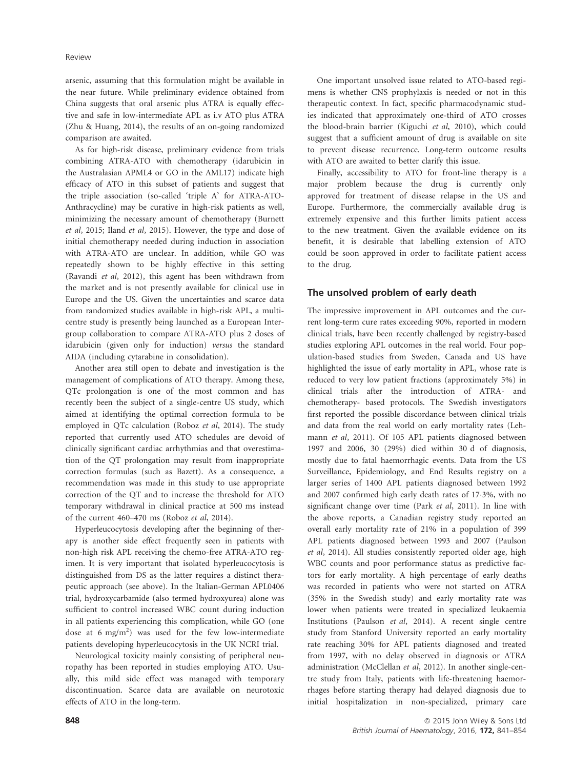arsenic, assuming that this formulation might be available in the near future. While preliminary evidence obtained from China suggests that oral arsenic plus ATRA is equally effective and safe in low-intermediate APL as i.v ATO plus ATRA (Zhu & Huang, 2014), the results of an on-going randomized comparison are awaited.

As for high-risk disease, preliminary evidence from trials combining ATRA-ATO with chemotherapy (idarubicin in the Australasian APML4 or GO in the AML17) indicate high efficacy of ATO in this subset of patients and suggest that the triple association (so-called 'triple A' for ATRA-ATO-Anthracycline) may be curative in high-risk patients as well, minimizing the necessary amount of chemotherapy (Burnett et al, 2015; Iland et al, 2015). However, the type and dose of initial chemotherapy needed during induction in association with ATRA-ATO are unclear. In addition, while GO was repeatedly shown to be highly effective in this setting (Ravandi et al, 2012), this agent has been withdrawn from the market and is not presently available for clinical use in Europe and the US. Given the uncertainties and scarce data from randomized studies available in high-risk APL, a multicentre study is presently being launched as a European Intergroup collaboration to compare ATRA-ATO plus 2 doses of idarubicin (given only for induction) versus the standard AIDA (including cytarabine in consolidation).

Another area still open to debate and investigation is the management of complications of ATO therapy. Among these, QTc prolongation is one of the most common and has recently been the subject of a single-centre US study, which aimed at identifying the optimal correction formula to be employed in QTc calculation (Roboz et al, 2014). The study reported that currently used ATO schedules are devoid of clinically significant cardiac arrhythmias and that overestimation of the QT prolongation may result from inappropriate correction formulas (such as Bazett). As a consequence, a recommendation was made in this study to use appropriate correction of the QT and to increase the threshold for ATO temporary withdrawal in clinical practice at 500 ms instead of the current 460–470 ms (Roboz et al, 2014).

Hyperleucocytosis developing after the beginning of therapy is another side effect frequently seen in patients with non-high risk APL receiving the chemo-free ATRA-ATO regimen. It is very important that isolated hyperleucocytosis is distinguished from DS as the latter requires a distinct therapeutic approach (see above). In the Italian-German APL0406 trial, hydroxycarbamide (also termed hydroxyurea) alone was sufficient to control increased WBC count during induction in all patients experiencing this complication, while GO (one dose at 6 mg/m<sup>2</sup>) was used for the few low-intermediate patients developing hyperleucocytosis in the UK NCRI trial.

Neurological toxicity mainly consisting of peripheral neuropathy has been reported in studies employing ATO. Usually, this mild side effect was managed with temporary discontinuation. Scarce data are available on neurotoxic effects of ATO in the long-term.

One important unsolved issue related to ATO-based regimens is whether CNS prophylaxis is needed or not in this therapeutic context. In fact, specific pharmacodynamic studies indicated that approximately one-third of ATO crosses the blood-brain barrier (Kiguchi et al, 2010), which could suggest that a sufficient amount of drug is available on site to prevent disease recurrence. Long-term outcome results with ATO are awaited to better clarify this issue.

Finally, accessibility to ATO for front-line therapy is a major problem because the drug is currently only approved for treatment of disease relapse in the US and Europe. Furthermore, the commercially available drug is extremely expensive and this further limits patient access to the new treatment. Given the available evidence on its benefit, it is desirable that labelling extension of ATO could be soon approved in order to facilitate patient access to the drug.

# The unsolved problem of early death

The impressive improvement in APL outcomes and the current long-term cure rates exceeding 90%, reported in modern clinical trials, have been recently challenged by registry-based studies exploring APL outcomes in the real world. Four population-based studies from Sweden, Canada and US have highlighted the issue of early mortality in APL, whose rate is reduced to very low patient fractions (approximately 5%) in clinical trials after the introduction of ATRA- and chemotherapy- based protocols. The Swedish investigators first reported the possible discordance between clinical trials and data from the real world on early mortality rates (Lehmann et al, 2011). Of 105 APL patients diagnosed between 1997 and 2006, 30 (29%) died within 30 d of diagnosis, mostly due to fatal haemorrhagic events. Data from the US Surveillance, Epidemiology, and End Results registry on a larger series of 1400 APL patients diagnosed between 1992 and 2007 confirmed high early death rates of 173%, with no significant change over time (Park et al, 2011). In line with the above reports, a Canadian registry study reported an overall early mortality rate of 21% in a population of 399 APL patients diagnosed between 1993 and 2007 (Paulson et al, 2014). All studies consistently reported older age, high WBC counts and poor performance status as predictive factors for early mortality. A high percentage of early deaths was recorded in patients who were not started on ATRA (35% in the Swedish study) and early mortality rate was lower when patients were treated in specialized leukaemia Institutions (Paulson et al, 2014). A recent single centre study from Stanford University reported an early mortality rate reaching 30% for APL patients diagnosed and treated from 1997, with no delay observed in diagnosis or ATRA administration (McClellan et al, 2012). In another single-centre study from Italy, patients with life-threatening haemorrhages before starting therapy had delayed diagnosis due to initial hospitalization in non-specialized, primary care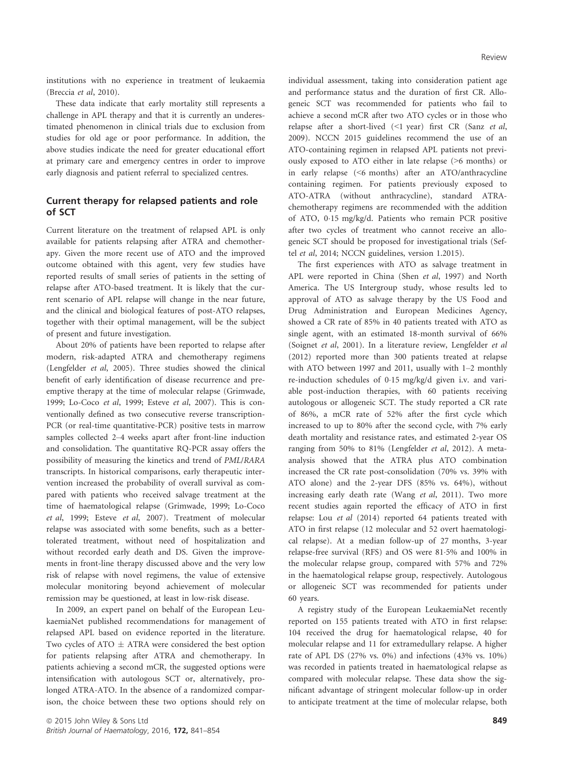institutions with no experience in treatment of leukaemia (Breccia et al, 2010).

These data indicate that early mortality still represents a challenge in APL therapy and that it is currently an underestimated phenomenon in clinical trials due to exclusion from studies for old age or poor performance. In addition, the above studies indicate the need for greater educational effort at primary care and emergency centres in order to improve early diagnosis and patient referral to specialized centres.

## Current therapy for relapsed patients and role of SCT

Current literature on the treatment of relapsed APL is only available for patients relapsing after ATRA and chemotherapy. Given the more recent use of ATO and the improved outcome obtained with this agent, very few studies have reported results of small series of patients in the setting of relapse after ATO-based treatment. It is likely that the current scenario of APL relapse will change in the near future, and the clinical and biological features of post-ATO relapses, together with their optimal management, will be the subject of present and future investigation.

About 20% of patients have been reported to relapse after modern, risk-adapted ATRA and chemotherapy regimens (Lengfelder et al, 2005). Three studies showed the clinical benefit of early identification of disease recurrence and preemptive therapy at the time of molecular relapse (Grimwade, 1999; Lo-Coco et al, 1999; Esteve et al, 2007). This is conventionally defined as two consecutive reverse transcription-PCR (or real-time quantitative-PCR) positive tests in marrow samples collected 2–4 weeks apart after front-line induction and consolidation. The quantitative RQ-PCR assay offers the possibility of measuring the kinetics and trend of PML/RARA transcripts. In historical comparisons, early therapeutic intervention increased the probability of overall survival as compared with patients who received salvage treatment at the time of haematological relapse (Grimwade, 1999; Lo-Coco et al, 1999; Esteve et al, 2007). Treatment of molecular relapse was associated with some benefits, such as a bettertolerated treatment, without need of hospitalization and without recorded early death and DS. Given the improvements in front-line therapy discussed above and the very low risk of relapse with novel regimens, the value of extensive molecular monitoring beyond achievement of molecular remission may be questioned, at least in low-risk disease.

In 2009, an expert panel on behalf of the European LeukaemiaNet published recommendations for management of relapsed APL based on evidence reported in the literature. Two cycles of ATO  $\pm$  ATRA were considered the best option for patients relapsing after ATRA and chemotherapy. In patients achieving a second mCR, the suggested options were intensification with autologous SCT or, alternatively, prolonged ATRA-ATO. In the absence of a randomized comparison, the choice between these two options should rely on individual assessment, taking into consideration patient age and performance status and the duration of first CR. Allogeneic SCT was recommended for patients who fail to achieve a second mCR after two ATO cycles or in those who relapse after a short-lived (<1 year) first CR (Sanz et al, 2009). NCCN 2015 guidelines recommend the use of an ATO-containing regimen in relapsed APL patients not previously exposed to ATO either in late relapse (>6 months) or in early relapse (<6 months) after an ATO/anthracycline containing regimen. For patients previously exposed to ATO-ATRA (without anthracycline), standard ATRAchemotherapy regimens are recommended with the addition of ATO, 015 mg/kg/d. Patients who remain PCR positive after two cycles of treatment who cannot receive an allogeneic SCT should be proposed for investigational trials (Seftel et al, 2014; NCCN guidelines, version 1.2015).

The first experiences with ATO as salvage treatment in APL were reported in China (Shen et al, 1997) and North America. The US Intergroup study, whose results led to approval of ATO as salvage therapy by the US Food and Drug Administration and European Medicines Agency, showed a CR rate of 85% in 40 patients treated with ATO as single agent, with an estimated 18-month survival of 66% (Soignet et al, 2001). In a literature review, Lengfelder et al (2012) reported more than 300 patients treated at relapse with ATO between 1997 and 2011, usually with 1–2 monthly re-induction schedules of 015 mg/kg/d given i.v. and variable post-induction therapies, with 60 patients receiving autologous or allogeneic SCT. The study reported a CR rate of 86%, a mCR rate of 52% after the first cycle which increased to up to 80% after the second cycle, with 7% early death mortality and resistance rates, and estimated 2-year OS ranging from 50% to 81% (Lengfelder et al, 2012). A metaanalysis showed that the ATRA plus ATO combination increased the CR rate post-consolidation (70% vs. 39% with ATO alone) and the 2-year DFS (85% vs. 64%), without increasing early death rate (Wang et al, 2011). Two more recent studies again reported the efficacy of ATO in first relapse: Lou et al (2014) reported 64 patients treated with ATO in first relapse (12 molecular and 52 overt haematological relapse). At a median follow-up of 27 months, 3-year relapse-free survival (RFS) and OS were 815% and 100% in the molecular relapse group, compared with 57% and 72% in the haematological relapse group, respectively. Autologous or allogeneic SCT was recommended for patients under 60 years.

A registry study of the European LeukaemiaNet recently reported on 155 patients treated with ATO in first relapse: 104 received the drug for haematological relapse, 40 for molecular relapse and 11 for extramedullary relapse. A higher rate of APL DS (27% vs. 0%) and infections (43% vs. 10%) was recorded in patients treated in haematological relapse as compared with molecular relapse. These data show the significant advantage of stringent molecular follow-up in order to anticipate treatment at the time of molecular relapse, both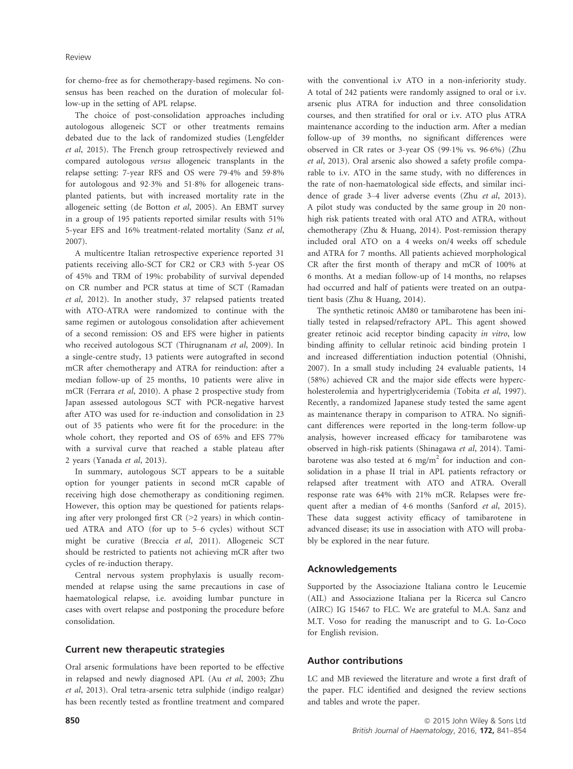for chemo-free as for chemotherapy-based regimens. No consensus has been reached on the duration of molecular follow-up in the setting of APL relapse.

The choice of post-consolidation approaches including autologous allogeneic SCT or other treatments remains debated due to the lack of randomized studies (Lengfelder et al, 2015). The French group retrospectively reviewed and compared autologous versus allogeneic transplants in the relapse setting: 7-year RFS and OS were 794% and 598% for autologous and 923% and 518% for allogeneic transplanted patients, but with increased mortality rate in the allogeneic setting (de Botton et al, 2005). An EBMT survey in a group of 195 patients reported similar results with 51% 5-year EFS and 16% treatment-related mortality (Sanz et al, 2007).

A multicentre Italian retrospective experience reported 31 patients receiving allo-SCT for CR2 or CR3 with 5-year OS of 45% and TRM of 19%: probability of survival depended on CR number and PCR status at time of SCT (Ramadan et al, 2012). In another study, 37 relapsed patients treated with ATO-ATRA were randomized to continue with the same regimen or autologous consolidation after achievement of a second remission: OS and EFS were higher in patients who received autologous SCT (Thirugnanam et al, 2009). In a single-centre study, 13 patients were autografted in second mCR after chemotherapy and ATRA for reinduction: after a median follow-up of 25 months, 10 patients were alive in mCR (Ferrara et al, 2010). A phase 2 prospective study from Japan assessed autologous SCT with PCR-negative harvest after ATO was used for re-induction and consolidation in 23 out of 35 patients who were fit for the procedure: in the whole cohort, they reported and OS of 65% and EFS 77% with a survival curve that reached a stable plateau after 2 years (Yanada et al, 2013).

In summary, autologous SCT appears to be a suitable option for younger patients in second mCR capable of receiving high dose chemotherapy as conditioning regimen. However, this option may be questioned for patients relapsing after very prolonged first  $CR$  ( $>2$  years) in which continued ATRA and ATO (for up to 5–6 cycles) without SCT might be curative (Breccia et al, 2011). Allogeneic SCT should be restricted to patients not achieving mCR after two cycles of re-induction therapy.

Central nervous system prophylaxis is usually recommended at relapse using the same precautions in case of haematological relapse, i.e. avoiding lumbar puncture in cases with overt relapse and postponing the procedure before consolidation.

### Current new therapeutic strategies

Oral arsenic formulations have been reported to be effective in relapsed and newly diagnosed APL (Au et al, 2003; Zhu et al, 2013). Oral tetra-arsenic tetra sulphide (indigo realgar) has been recently tested as frontline treatment and compared with the conventional i.v ATO in a non-inferiority study. A total of 242 patients were randomly assigned to oral or i.v. arsenic plus ATRA for induction and three consolidation courses, and then stratified for oral or i.v. ATO plus ATRA maintenance according to the induction arm. After a median follow-up of 39 months, no significant differences were observed in CR rates or 3-year OS (991% vs. 966%) (Zhu et al, 2013). Oral arsenic also showed a safety profile comparable to i.v. ATO in the same study, with no differences in the rate of non-haematological side effects, and similar incidence of grade 3–4 liver adverse events (Zhu et al, 2013). A pilot study was conducted by the same group in 20 nonhigh risk patients treated with oral ATO and ATRA, without chemotherapy (Zhu & Huang, 2014). Post-remission therapy included oral ATO on a 4 weeks on/4 weeks off schedule and ATRA for 7 months. All patients achieved morphological CR after the first month of therapy and mCR of 100% at 6 months. At a median follow-up of 14 months, no relapses had occurred and half of patients were treated on an outpatient basis (Zhu & Huang, 2014).

The synthetic retinoic AM80 or tamibarotene has been initially tested in relapsed/refractory APL. This agent showed greater retinoic acid receptor binding capacity in vitro, low binding affinity to cellular retinoic acid binding protein 1 and increased differentiation induction potential (Ohnishi, 2007). In a small study including 24 evaluable patients, 14 (58%) achieved CR and the major side effects were hypercholesterolemia and hypertriglyceridemia (Tobita et al, 1997). Recently, a randomized Japanese study tested the same agent as maintenance therapy in comparison to ATRA. No significant differences were reported in the long-term follow-up analysis, however increased efficacy for tamibarotene was observed in high-risk patients (Shinagawa et al, 2014). Tamibarotene was also tested at 6 mg/m<sup>2</sup> for induction and consolidation in a phase II trial in APL patients refractory or relapsed after treatment with ATO and ATRA. Overall response rate was 64% with 21% mCR. Relapses were frequent after a median of 46 months (Sanford et al, 2015). These data suggest activity efficacy of tamibarotene in advanced disease; its use in association with ATO will probably be explored in the near future.

#### Acknowledgements

Supported by the Associazione Italiana contro le Leucemie (AIL) and Associazione Italiana per la Ricerca sul Cancro (AIRC) IG 15467 to FLC. We are grateful to M.A. Sanz and M.T. Voso for reading the manuscript and to G. Lo-Coco for English revision.

### Author contributions

LC and MB reviewed the literature and wrote a first draft of the paper. FLC identified and designed the review sections and tables and wrote the paper.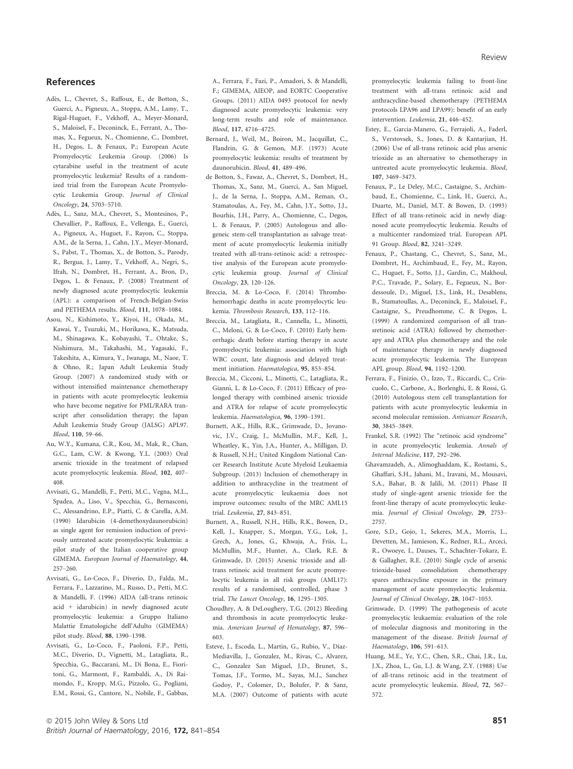### References

- Ades, L., Chevret, S., Raffoux, E., de Botton, S., Guerci, A., Pigneux, A., Stoppa, A.M., Lamy, T., Rigal-Huguet, F., Vekhoff, A., Meyer-Monard, S., Maloisel, F., Deconinck, E., Ferrant, A., Thomas, X., Fegueux, N., Chomienne, C., Dombret, H., Degos, L. & Fenaux, P.; European Acute Promyelocytic Leukemia Group. (2006) Is cytarabine useful in the treatment of acute promyelocytic leukemia? Results of a randomized trial from the European Acute Promyelocytic Leukemia Group. Journal of Clinical Oncology, 24, 5703–5710.
- Ades, L., Sanz, M.A., Chevret, S., Montesinos, P., Chevallier, P., Raffoux, E., Vellenga, E., Guerci, A., Pigneux, A., Huguet, F., Rayon, C., Stoppa, A.M., de la Serna, J., Cahn, J.Y., Meyer-Monard, S., Pabst, T., Thomas, X., de Botton, S., Parody, R., Bergua, J., Lamy, T., Vekhoff, A., Negri, S., Ifrah, N., Dombret, H., Ferrant, A., Bron, D., Degos, L. & Fenaux, P. (2008) Treatment of newly diagnosed acute promyelocytic leukemia (APL): a comparison of French-Belgian-Swiss and PETHEMA results. Blood, 111, 1078–1084.
- Asou, N., Kishimoto, Y., Kiyoi, H., Okada, M., Kawai, Y., Tsuzuki, M., Horikawa, K., Matsuda, M., Shinagawa, K., Kobayashi, T., Ohtake, S., Nishimura, M., Takahashi, M., Yagasaki, F., Takeshita, A., Kimura, Y., Iwanaga, M., Naoe, T. & Ohno, R.; Japan Adult Leukemia Study Group. (2007) A randomized study with or without intensified maintenance chemotherapy in patients with acute promyelocytic leukemia who have become negative for PML/RARA transcript after consolidation therapy; the Japan Adult Leukemia Study Group (JALSG) APL97. Blood, 110, 59–66.
- Au, W.Y., Kumana, C.R., Kou, M., Mak, R., Chan, G.C., Lam, C.W. & Kwong, Y.L. (2003) Oral arsenic trioxide in the treatment of relapsed acute promyelocytic leukemia. Blood, 102, 407– 408.
- Avvisati, G., Mandelli, F., Petti, M.C., Vegna, M.L., Spadea, A., Liso, V., Specchia, G., Bernasconi, C., Alessandrino, E.P., Piatti, C. & Carella, A.M. (1990) Idarubicin (4-demethoxydaunorubicin) as single agent for remission induction of previously untreated acute promyelocytic leukemia: a pilot study of the Italian cooperative group GIMEMA. European Journal of Haematology, 44, 257–260.
- Avvisati, G., Lo-Coco, F., Diverio, D., Falda, M., Ferrara, F., Lazzarino, M., Russo, D., Petti, M.C. & Mandelli, F. (1996) AIDA (all-trans retinoic acid + idarubicin) in newly diagnosed acute promyelocytic leukemia: a Gruppo Italiano Malattie Ematologiche dell'Adulto (GIMEMA) pilot study. Blood, 88, 1390–1398.
- Avvisati, G., Lo-Coco, F., Paoloni, F.P., Petti, M.C., Diverio, D., Vignetti, M., Latagliata, R., Specchia, G., Baccarani, M., Di Bona, E., Fioritoni, G., Marmont, F., Rambaldi, A., Di Raimondo, F., Kropp, M.G., Pizzolo, G., Pogliani, E.M., Rossi, G., Cantore, N., Nobile, F., Gabbas,

A., Ferrara, F., Fazi, P., Amadori, S. & Mandelli, F.; GIMEMA, AIEOP, and EORTC Cooperative Groups. (2011) AIDA 0493 protocol for newly diagnosed acute promyelocytic leukemia: very long-term results and role of maintenance. Blood, 117, 4716–4725.

- Bernard, J., Weil, M., Boiron, M., Jacquillat, C., Flandrin, G. & Gemon, M.F. (1973) Acute promyelocytic leukemia: results of treatment by daunorubicin. Blood, 41, 489–496.
- de Botton, S., Fawaz, A., Chevret, S., Dombret, H., Thomas, X., Sanz, M., Guerci, A., San Miguel, J., de la Serna, J., Stoppa, A.M., Reman, O., Stamatoulas, A., Fey, M., Cahn, J.Y., Sotto, J.J., Bourhis, J.H., Parry, A., Chomienne, C., Degos, L. & Fenaux, P. (2005) Autologous and allogeneic stem-cell transplantation as salvage treatment of acute promyelocytic leukemia initially treated with all-trans-retinoic acid: a retrospective analysis of the European acute promyelocytic leukemia group. Journal of Clinical Oncology, 23, 120–126.
- Breccia, M. & Lo-Coco, F. (2014) Thrombohemorrhagic deaths in acute promyelocytic leukemia. Thrombosis Research, 133, 112–116.
- Breccia, M., Latagliata, R., Cannella, L., Minotti, C., Meloni, G. & Lo-Coco, F. (2010) Early hemorrhagic death before starting therapy in acute promyelocytic leukemia: association with high WBC count, late diagnosis and delayed treatment initiation. Haematologica, 95, 853–854.
- Breccia, M., Cicconi, L., Minotti, C., Latagliata, R., Giannı, L. & Lo-Coco, F. (2011) Efficacy of prolonged therapy with combined arsenic trioxide and ATRA for relapse of acute promyelocytic leukemia. Haematologica, 96, 1390–1391.
- Burnett, A.K., Hills, R.K., Grimwade, D., Jovanovic, J.V., Craig, J., McMullin, M.F., Kell, J., Wheatley, K., Yin, J.A., Hunter, A., Milligan, D. & Russell, N.H.; United Kingdom National Cancer Research Institute Acute Myeloid Leukaemia Subgroup. (2013) Inclusion of chemotherapy in addition to anthracycline in the treatment of acute promyelocytic leukaemia does not improve outcomes: results of the MRC AML15 trial. Leukemia, 27, 843–851.
- Burnett, A., Russell, N.H., Hills, R.K., Bowen, D., Kell, J., Knapper, S., Morgan, Y.G., Lok, J., Grech, A., Jones, G., Khwaja, A., Friis, L., McMullin, M.F., Hunter, A., Clark, R.E. & Grimwade, D. (2015) Arsenic trioxide and alltrans retinoic acid treatment for acute promyelocytic leukemia in all risk groups (AML17): results of a randomised, controlled, phase 3 trial. The Lancet Oncology, 16, 1295–1305.
- Choudhry, A. & DeLoughery, T.G. (2012) Bleeding and thrombosis in acute promyelocytic leukemia. American Journal of Hematology, 87, 596– 603.
- Esteve, J., Escoda, L., Martin, G., Rubio, V., Diaz-Mediavilla, J., Gonzalez, M., Rivas, C., Alvarez, C., Gonzalez San Miguel, J.D., Brunet, S., Tomas, J.F., Tormo, M., Sayas, M.J., Sanchez Godoy, P., Colomer, D., Bolufer, P. & Sanz, M.A. (2007) Outcome of patients with acute

promyelocytic leukemia failing to front-line treatment with all-trans retinoic acid and anthracycline-based chemotherapy (PETHEMA protocols LPA96 and LPA99): benefit of an early intervention. Leukemia, 21, 446–452.

- Estey, E., Garcia-Manero, G., Ferrajoli, A., Faderl, S., Verstovsek, S., Jones, D. & Kantarjian, H. (2006) Use of all-trans retinoic acid plus arsenic trioxide as an alternative to chemotherapy in untreated acute promyelocytic leukemia. Blood, 107, 3469–3473.
- Fenaux, P., Le Deley, M.C., Castaigne, S., Archimbaud, E., Chomienne, C., Link, H., Guerci, A., Duarte, M., Daniel, M.T. & Bowen, D. (1993) Effect of all trans-retinoic acid in newly diagnosed acute promyelocytic leukemia. Results of a multicenter randomized trial. European APL 91 Group. Blood, 82, 3241–3249.
- Fenaux, P., Chastang, C., Chevret, S., Sanz, M., Dombret, H., Archimbaud, E., Fey, M., Rayon, C., Huguet, F., Sotto, J.J., Gardin, C., Makhoul, P.C., Travade, P., Solary, E., Fegueux, N., Bordessoule, D., Miguel, J.S., Link, H., Desablens, B., Stamatoullas, A., Deconinck, E., Maloisel, F., Castaigne, S., Preudhomme, C. & Degos, L. (1999) A randomized comparison of all transretinoic acid (ATRA) followed by chemotherapy and ATRA plus chemotherapy and the role of maintenance therapy in newly diagnosed acute promyelocytic leukemia. The European APL group. Blood, 94, 1192–1200.
- Ferrara, F., Finizio, O., Izzo, T., Riccardi, C., Criscuolo, C., Carbone, A., Borlenghi, E. & Rossi, G. (2010) Autologous stem cell transplantation for patients with acute promyelocytic leukemia in second molecular remission. Anticancer Research, 30, 3845–3849.
- Frankel, S.R. (1992) The "retinoic acid syndrome" in acute promyelocytic leukemia. Annals of Internal Medicine, 117, 292–296.
- Ghavamzadeh, A., Alimoghaddam, K., Rostami, S., Ghaffari, S.H., Jahani, M., Iravani, M., Mousavi, S.A., Bahar, B. & Jalili, M. (2011) Phase II study of single-agent arsenic trioxide for the front-line therapy of acute promyelocytic leukemia. Journal of Clinical Oncology, 29, 2753– 2757.
- Gore, S.D., Gojo, I., Sekeres, M.A., Morris, L., Devetten, M., Jamieson, K., Redner, R.L., Arceci, R., Owoeye, I., Dauses, T., Schachter-Tokarz, E. & Gallagher, R.E. (2010) Single cycle of arsenic trioxide-based consolidation chemotherapy spares anthracycline exposure in the primary management of acute promyelocytic leukemia. Journal of Clinical Oncology, 28, 1047–1053.
- Grimwade, D. (1999) The pathogenesis of acute promyelocytic leukaemia: evaluation of the role of molecular diagnosis and monitoring in the management of the disease. British Journal of Haematology, 106, 591–613.
- Huang, M.E., Ye, Y.C., Chen, S.R., Chai, J.R., Lu, J.X., Zhoa, L., Gu, L.J. & Wang, Z.Y. (1988) Use of all-trans retinoic acid in the treatment of acute promyelocytic leukemia. Blood, 72, 567– 572.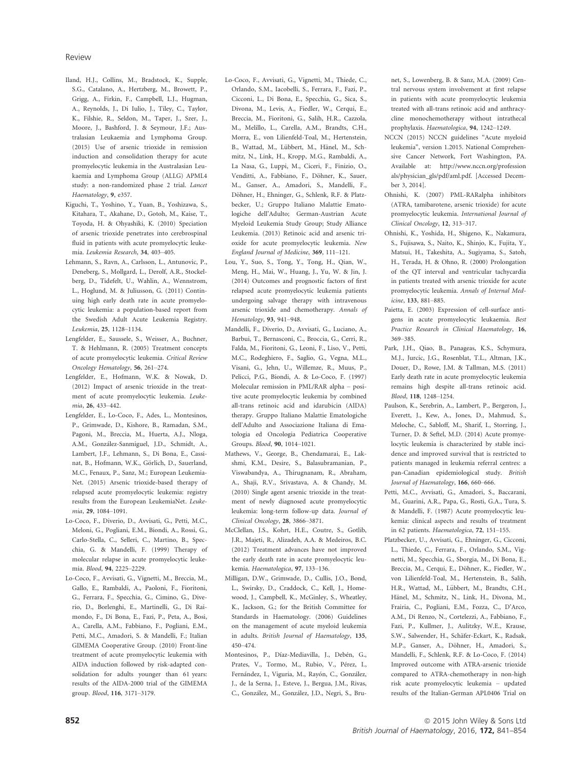- Iland, H.J., Collins, M., Bradstock, K., Supple, S.G., Catalano, A., Hertzberg, M., Browett, P., Grigg, A., Firkin, F., Campbell, L.J., Hugman, A., Reynolds, J., Di Iulio, J., Tiley, C., Taylor, K., Filshie, R., Seldon, M., Taper, J., Szer, J., Moore, J., Bashford, J. & Seymour, J.F.; Australasian Leukaemia and Lymphoma Group. (2015) Use of arsenic trioxide in remission induction and consolidation therapy for acute promyelocytic leukemia in the Australasian Leukaemia and Lymphoma Group (ALLG) APML4 study: a non-randomized phase 2 trial. Lancet Haematology, 9, e357.
- Kiguchi, T., Yoshino, Y., Yuan, B., Yoshizawa, S., Kitahara, T., Akahane, D., Gotoh, M., Kaise, T., Toyoda, H. & Ohyashiki, K. (2010) Speciation of arsenic trioxide penetrates into cerebrospinal fluid in patients with acute promyelocytic leukemia. Leukemia Research, 34, 403–405.
- Lehmann, S., Ravn, A., Carlsson, L., Antunovic, P., Deneberg, S., Mollgard, L., Derolf, A.R., Stockelberg, D., Tidefelt, U., Wahlin, A., Wennstrom, L., Hoglund, M. & Juliusson, G. (2011) Continuing high early death rate in acute promyelocytic leukemia: a population-based report from the Swedish Adult Acute Leukemia Registry. Leukemia, 25, 1128–1134.
- Lengfelder, E., Saussele, S., Weisser, A., Buchner, T. & Hehlmann, R. (2005) Treatment concepts of acute promyelocytic leukemia. Critical Review Oncology Hematology, 56, 261–274.
- Lengfelder, E., Hofmann, W.K. & Nowak, D. (2012) Impact of arsenic trioxide in the treatment of acute promyelocytic leukemia. Leukemia, 26, 433–442.
- Lengfelder, E., Lo-Coco, F., Ades, L., Montesinos, P., Grimwade, D., Kishore, B., Ramadan, S.M., Pagoni, M., Breccia, M., Huerta, A.J., Nloga, A.M., Gonzalez-Sanmiguel, J.D., Schmidt, A., Lambert, J.F., Lehmann, S., Di Bona, E., Cassinat, B., Hofmann, W.K., Görlich, D., Sauerland, M.C., Fenaux, P., Sanz, M.; European Leukemia-Net. (2015) Arsenic trioxide-based therapy of relapsed acute promyelocytic leukemia: registry results from the European LeukemiaNet. Leukemia, 29, 1084–1091.
- Lo-Coco, F., Diverio, D., Avvisati, G., Petti, M.C., Meloni, G., Pogliani, E.M., Biondi, A., Rossi, G., Carlo-Stella, C., Selleri, C., Martino, B., Specchia, G. & Mandelli, F. (1999) Therapy of molecular relapse in acute promyelocytic leukemia. Blood, 94, 2225–2229.
- Lo-Coco, F., Avvisati, G., Vignetti, M., Breccia, M., Gallo, E., Rambaldi, A., Paoloni, F., Fioritoni, G., Ferrara, F., Specchia, G., Cimino, G., Diverio, D., Borlenghi, E., Martinelli, G., Di Raimondo, F., Di Bona, E., Fazi, P., Peta, A., Bosi, A., Carella, A.M., Fabbiano, F., Pogliani, E.M., Petti, M.C., Amadori, S. & Mandelli, F.; Italian GIMEMA Cooperative Group. (2010) Front-line treatment of acute promyelocytic leukemia with AIDA induction followed by risk-adapted consolidation for adults younger than 61 years: results of the AIDA-2000 trial of the GIMEMA group. Blood, 116, 3171–3179.
- Lo-Coco, F., Avvisati, G., Vignetti, M., Thiede, C., Orlando, S.M., Iacobelli, S., Ferrara, F., Fazi, P., Cicconi, L., Di Bona, E., Specchia, G., Sica, S., Divona, M., Levis, A., Fiedler, W., Cerqui, E., Breccia, M., Fioritoni, G., Salih, H.R., Cazzola, M., Melillo, L., Carella, A.M., Brandts, C.H., Morra, E., von Lilienfeld-Toal, M., Hertenstein, B., Wattad, M., Lübbert, M., Hänel, M., Schmitz, N., Link, H., Kropp, M.G., Rambaldi, A., La Nasa, G., Luppi, M., Ciceri, F., Finizio, O., Venditti, A., Fabbiano, F., Döhner, K., Sauer, M., Ganser, A., Amadori, S., Mandelli, F., Döhner, H., Ehninger, G., Schlenk, R.F. & Platzbecker, U.; Gruppo Italiano Malattie Ematologiche dell'Adulto; German-Austrian Acute Myeloid Leukemia Study Group; Study Alliance Leukemia. (2013) Retinoic acid and arsenic trioxide for acute promyelocytic leukemia. New England Journal of Medicine, 369, 111–121.
- Lou, Y., Suo, S., Tong, Y., Tong, H., Qian, W., Meng, H., Mai, W., Huang, J., Yu, W. & Jin, J. (2014) Outcomes and prognostic factors of first relapsed acute promyelocytic leukemia patients undergoing salvage therapy with intravenous arsenic trioxide and chemotherapy. Annals of Hematology, 93, 941–948.
- Mandelli, F., Diverio, D., Avvisati, G., Luciano, A., Barbui, T., Bernasconi, C., Broccia, G., Cerri, R., Falda, M., Fioritoni, G., Leoni, F., Liso, V., Petti, M.C., Rodeghiero, F., Saglio, G., Vegna, M.L., Visani, G., Jehn, U., Willemze, R., Muus, P., Pelicci, P.G., Biondi, A. & Lo-Coco, F. (1997) Molecular remission in PML/RAR alpha – positive acute promyelocytic leukemia by combined all-trans retinoic acid and idarubicin (AIDA) therapy. Gruppo Italiano Malattie Ematologiche dell'Adulto and Associazione Italiana di Ematologia ed Oncologia Pediatrica Cooperative Groups. Blood, 90, 1014–1021.
- Mathews, V., George, B., Chendamarai, E., Lakshmi, K.M., Desire, S., Balasubramanian, P., Viswabandya, A., Thirugnanam, R., Abraham, A., Shaji, R.V., Srivastava, A. & Chandy, M. (2010) Single agent arsenic trioxide in the treatment of newly diagnosed acute promyelocytic leukemia: long-term follow-up data. Journal of Clinical Oncology, 28, 3866–3871.
- McClellan, J.S., Kohrt, H.E., Coutre, S., Gotlib, J.R., Majeti, R., Alizadeh, A.A. & Medeiros, B.C. (2012) Treatment advances have not improved the early death rate in acute promyelocytic leukemia. Haematologica, 97, 133–136.
- Milligan, D.W., Grimwade, D., Cullis, J.O., Bond, L., Swirsky, D., Craddock, C., Kell, J., Homewood, J., Campbell, K., McGinley, S., Wheatley, K., Jackson, G.; for the British Committee for Standards in Haematology. (2006) Guidelines on the management of acute myeloid leukemia in adults. British Journal of Haematology, 135, 450–474.
- Montesinos, P., Díaz-Mediavilla, J., Debén, G., Prates, V., Tormo, M., Rubio, V., Pérez, L. Fernández, I., Viguria, M., Rayón, C., González, J., de la Serna, J., Esteve, J., Bergua, J.M., Rivas, C., Gonzalez, M., Gonzalez, J.D., Negri, S., Bru-

net, S., Lowenberg, B. & Sanz, M.A. (2009) Central nervous system involvement at first relapse in patients with acute promyelocytic leukemia treated with all-trans retinoic acid and anthracycline monochemotherapy without intrathecal prophylaxis. Haematologica, 94, 1242–1249.

- NCCN (2015) NCCN guidelines "Acute myeloid leukemia", version 1.2015. National Comprehensive Cancer Network, Fort Washington, PA. Available at: [http://www.nccn.org/profession](http://www.nccn.org/professionals/physician_gls/pdf/aml.pdf) [als/physician\\_gls/pdf/aml.pdf](http://www.nccn.org/professionals/physician_gls/pdf/aml.pdf). [Accessed December 3, 2014].
- Ohnishi, K. (2007) PML-RARalpha inhibitors (ATRA, tamibarotene, arsenic trioxide) for acute promyelocytic leukemia. International Journal of Clinical Oncology, 12, 313–317.
- Ohnishi, K., Yoshida, H., Shigeno, K., Nakamura, S., Fujisawa, S., Naito, K., Shinjo, K., Fujita, Y., Matsui, H., Takeshita, A., Sugiyama, S., Satoh, H., Terada, H. & Ohno, R. (2000) Prolongation of the QT interval and ventricular tachycardia in patients treated with arsenic trioxide for acute promyelocytic leukemia. Annals of Internal Medicine, 133, 881–885.
- Paietta, E. (2003) Expression of cell-surface antigens in acute promyelocytic leukaemia. Best Practice Research in Clinical Haematology, 16, 369–385.
- Park, J.H., Qiao, B., Panageas, K.S., Schymura, M.J., Jurcic, J.G., Rosenblat, T.L., Altman, J.K., Douer, D., Rowe, J.M. & Tallman, M.S. (2011) Early death rate in acute promyelocytic leukemia remains high despite all-trans retinoic acid. Blood, 118, 1248–1254.
- Paulson, K., Serebrin, A., Lambert, P., Bergeron, J., Everett, J., Kew, A., Jones, D., Mahmud, S., Meloche, C., Sabloff, M., Sharif, I., Storring, J., Turner, D. & Seftel, M.D. (2014) Acute promyelocytic leukemia is characterized by stable incidence and improved survival that is restricted to patients managed in leukemia referral centres: a pan-Canadian epidemiological study. British Journal of Haematology, 166, 660–666.
- Petti, M.C., Avvisati, G., Amadori, S., Baccarani, M., Guarini, A.R., Papa, G., Rosti, G.A., Tura, S. & Mandelli, F. (1987) Acute promyelocytic leukemia: clinical aspects and results of treatment in 62 patients. Haematologica, 72, 151–155.
- Platzbecker, U., Avvisati, G., Ehninger, G., Cicconi, L., Thiede, C., Ferrara, F., Orlando, S.M., Vignetti, M., Specchia, G., Sborgia, M., Di Bona, E., Breccia, M., Cerqui, E., Döhner, K., Fiedler, W., von Lilienfeld-Toal, M., Hertenstein, B., Salih, H.R., Wattad, M., Lübbert, M., Brandts, C.H., Hänel, M., Schmitz, N., Link, H., Divona, M., Frairia, C., Pogliani, E.M., Fozza, C., D'Arco, A.M., Di Renzo, N., Cortelezzi, A., Fabbiano, F., Fazi, P., Kullmer, J., Aulitzky, W.E., Krause, S.W., Salwender, H., Schäfer-Eckart, K., Radsak, M.P., Ganser, A., Döhner, H., Amadori, S., Mandelli, F., Schlenk, R.F. & Lo-Coco, F. (2014) Improved outcome with ATRA-arsenic trioxide compared to ATRA-chemotherapy in non-high risk acute promyelocytic leukemia – updated results of the Italian-German APL0406 Trial on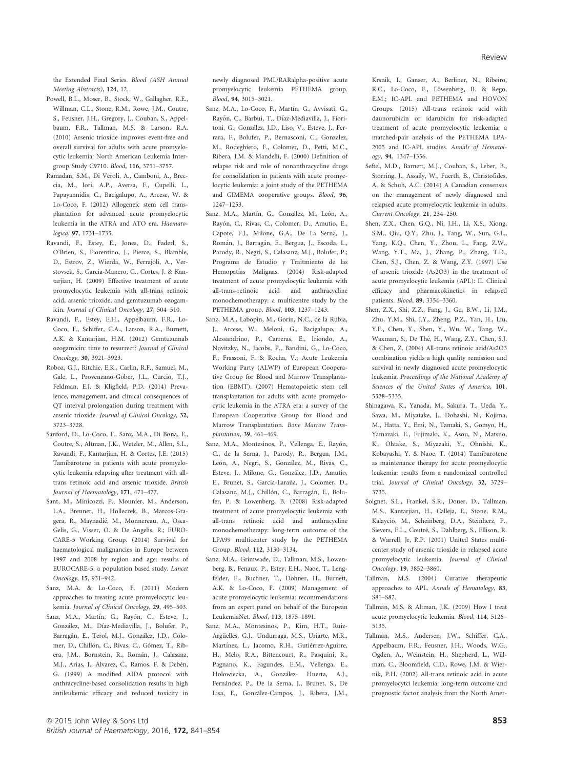the Extended Final Series. Blood (ASH Annual Meeting Abstracts), 124, 12.

- Powell, B.L., Moser, B., Stock, W., Gallagher, R.E., Willman, C.L., Stone, R.M., Rowe, J.M., Coutre, S., Feusner, J.H., Gregory, J., Couban, S., Appelbaum, F.R., Tallman, M.S. & Larson, R.A. (2010) Arsenic trioxide improves event-free and overall survival for adults with acute promyelocytic leukemia: North American Leukemia Intergroup Study C9710. Blood, 116, 3751–3757.
- Ramadan, S.M., Di Veroli, A., Camboni, A., Breccia, M., Iori, A.P., Aversa, F., Cupelli, L., Papayannidis, C., Bacigalupo, A., Arcese, W. & Lo-Coco, F. (2012) Allogeneic stem cell transplantation for advanced acute promyelocytic leukemia in the ATRA and ATO era. Haematologica, 97, 1731–1735.
- Ravandi, F., Estey, E., Jones, D., Faderl, S., O'Brien, S., Fiorentino, J., Pierce, S., Blamble, D., Estrov, Z., Wierda, W., Ferrajoli, A., Verstovsek, S., Garcia-Manero, G., Cortes, J. & Kantarjian, H. (2009) Effective treatment of acute promyelocytic leukemia with all-trans retinoic acid, arsenic trioxide, and gemtuzumab ozogamicin. Journal of Clinical Oncology, 27, 504–510.
- Ravandi, F., Estey, E.H., Appelbaum, F.R., Lo-Coco, F., Schiffer, C.A., Larson, R.A., Burnett, A.K. & Kantarjian, H.M. (2012) Gemtuzumab ozogamicin: time to resurrect? Journal of Clinical Oncology, 30, 3921–3923.
- Roboz, G.J., Ritchie, E.K., Carlin, R.F., Samuel, M., Gale, L., Provenzano-Gober, J.L., Curcio, T.J., Feldman, E.J. & Kligfield, P.D. (2014) Prevalence, management, and clinical consequences of QT interval prolongation during treatment with arsenic trioxide. Journal of Clinical Oncology, 32, 3723–3728.
- Sanford, D., Lo-Coco, F., Sanz, M.A., Di Bona, E., Coutre, S., Altman, J.K., Wetzler, M., Allen, S.L., Ravandi, F., Kantarjian, H. & Cortes, J.E. (2015) Tamibarotene in patients with acute promyelocytic leukemia relapsing after treatment with alltrans retinoic acid and arsenic trioxide. British Journal of Haematology, 171, 471–477.
- Sant, M., Minicozzi, P., Mounier, M., Anderson, L.A., Brenner, H., Holleczek, B., Marcos-Gragera, R., Maynadié, M., Monnereau, A., Osca-Gelis, G., Visser, O. & De Angelis, R.; EURO-CARE-5 Working Group. (2014) Survival for haematological malignancies in Europe between 1997 and 2008 by region and age: results of EUROCARE-5, a population based study. Lancet Oncology, 15, 931–942.
- Sanz, M.A. & Lo-Coco, F. (2011) Modern approaches to treating acute promyelocytic leukemia. Journal of Clinical Oncology, 29, 495–503.
- Sanz, M.A., Martín, G., Rayón, C., Esteve, J., González, M., Díaz-Mediavilla, J., Bolufer, P., Barragán, E., Terol, M.J., González, J.D., Colomer, D., Chillón, C., Rivas, C., Gómez, T., Ribera, J.M., Bornstein, R., Román, J., Calasanz, M.J., Arias, J., Alvarez, C., Ramos, F. & Debén, G. (1999) A modified AIDA protocol with anthracycline-based consolidation results in high antileukemic efficacy and reduced toxicity in

newly diagnosed PML/RARalpha-positive acute promyelocytic leukemia PETHEMA group. Blood, 94, 3015–3021.

- Sanz, M.A., Lo-Coco, F., Martín, G., Avvisati, G., Rayón, C., Barbui, T., Díaz-Mediavilla, J., Fioritoni, G., Gonzalez, J.D., Liso, V., Esteve, J., Ferrara, F., Bolufer, P., Bernasconi, C., Gonzalez, M., Rodeghiero, F., Colomer, D., Petti, M.C., Ribera, J.M. & Mandelli, F. (2000) Definition of relapse risk and role of nonanthracycline drugs for consolidation in patients with acute promyelocytic leukemia: a joint study of the PETHEMA and GIMEMA cooperative groups. Blood, 96, 1247–1253.
- Sanz, M.A., Martín, G., González, M., León, A., Rayon, C., Rivas, C., Colomer, D., Amutio, E., Capote, F.J., Milone, G.A., De La Serna, J., Román, J., Barragán, E., Bergua, J., Escoda, L., Parody, R., Negri, S., Calasanz, M.J., Bolufer, P.; Programa de Estudio y Traitmiento de las Hemopatías Malignas. (2004) Risk-adapted treatment of acute promyelocytic leukemia with all-trans-retinoic acid and anthracycline monochemotherapy: a multicentre study by the PETHEMA group. Blood, 103, 1237–1243.
- Sanz, M.A., Labopin, M., Gorin, N.C., de la Rubia, J., Arcese, W., Meloni, G., Bacigalupo, A., Alessandrino, P., Carreras, E., Iriondo, A., Novitzky, N., Jacobs, P., Bandini, G., Lo-Coco, F., Frassoni, F. & Rocha, V.; Acute Leukemia Working Party (ALWP) of European Cooperative Group for Blood and Marrow Transplantation (EBMT). (2007) Hematopoietic stem cell transplantation for adults with acute promyelocytic leukemia in the ATRA era: a survey of the European Cooperative Group for Blood and Marrow Transplantation. Bone Marrow Transplantation, 39, 461–469.
- Sanz, M.A., Montesinos, P., Vellenga, E., Rayón, C., de la Serna, J., Parody, R., Bergua, J.M., León, A., Negri, S., González, M., Rivas, C., Esteve, J., Milone, G., Gonzalez, J.D., Amutio, E., Brunet, S., García-Laraña, J., Colomer, D., Calasanz, M.J., Chillón, C., Barragán, E., Bolufer, P. & Lowenberg, B. (2008) Risk-adapted treatment of acute promyelocytic leukemia with all-trans retinoic acid and anthracycline monochemotherapy: long-term outcome of the LPA99 multicenter study by the PETHEMA Group. Blood, 112, 3130–3134.
- Sanz, M.A., Grimwade, D., Tallman, M.S., Lowenberg, B., Fenaux, P., Estey, E.H., Naoe, T., Lengfelder, E., Buchner, T., Dohner, H., Burnett, A.K. & Lo-Coco, F. (2009) Management of acute promyelocytic leukemia: recommendations from an expert panel on behalf of the European LeukemiaNet. Blood, 113, 1875–1891.
- Sanz, M.A., Montesinos, P., Kim, H.T., Ruiz-Argüelles, G.J., Undurraga, M.S., Uriarte, M.R., Martínez, L., Jacomo, R.H., Gutiérrez-Aguirre, H., Melo, R.A., Bittencourt, R., Pasquini, R., Pagnano, K., Fagundes, E.M., Vellenga, E., Holowiecka, A., Gonzalez- Huerta, A.J., Fernández, P., De la Serna, J., Brunet, S., De Lisa, E., Gonzalez-Campos, J., Ribera, J.M.,

Krsnik, I., Ganser, A., Berliner, N., Ribeiro, R.C., Lo-Coco, F., Löwenberg, B. & Rego, E.M.; IC-APL and PETHEMA and HOVON Groups. (2015) All-trans retinoic acid with daunorubicin or idarubicin for risk-adapted treatment of acute promyelocytic leukemia: a matched-pair analysis of the PETHEMA LPA-2005 and IC-APL studies. Annals of Hematology, 94, 1347–1356.

- Seftel, M.D., Barnett, M.J., Couban, S., Leber, B., Storring, J., Assaily, W., Fuerth, B., Christofides, A. & Schuh, A.C. (2014) A Canadian consensus on the management of newly diagnosed and relapsed acute promyelocytic leukemia in adults. Current Oncology, 21, 234–250.
- Shen, Z.X., Chen, G.Q., Ni, J.H., Li, X.S., Xiong, S.M., Qiu, Q.Y., Zhu, J., Tang, W., Sun, G.L., Yang, K.Q., Chen, Y., Zhou, L., Fang, Z.W., Wang, Y.T., Ma, J., Zhang, P., Zhang, T.D., Chen, S.J., Chen, Z. & Wang, Z.Y. (1997) Use of arsenic trioxide (As2O3) in the treatment of acute promyelocytic leukemia (APL): II. Clinical efficacy and pharmacokinetics in relapsed patients. Blood, 89, 3354–3360.
- Shen, Z.X., Shi, Z.Z., Fang, J., Gu, B.W., Li, J.M., Zhu, Y.M., Shi, J.Y., Zheng, P.Z., Yan, H., Liu, Y.F., Chen, Y., Shen, Y., Wu, W., Tang, W., Waxman, S., De The, H., Wang, Z.Y., Chen, S.J. & Chen, Z. (2004) All-trans retinoic acid/As2O3 combination yields a high quality remission and survival in newly diagnosed acute promyelocytic leukemia. Proceedings of the National Academy of Sciences of the United States of America, 101, 5328–5335.
- Shinagawa, K., Yanada, M., Sakura, T., Ueda, Y., Sawa, M., Miyatake, J., Dobashi, N., Kojima, M., Hatta, Y., Emi, N., Tamaki, S., Gomyo, H., Yamazaki, E., Fujimaki, K., Asou, N., Matsuo, K., Ohtake, S., Miyazaki, Y., Ohnishi, K., Kobayashi, Y. & Naoe, T. (2014) Tamibarotene as maintenance therapy for acute promyelocytic leukemia: results from a randomized controlled trial. Journal of Clinical Oncology, 32, 3729– 3735.
- Soignet, S.L., Frankel, S.R., Douer, D., Tallman, M.S., Kantarjian, H., Calleja, E., Stone, R.M., Kalaycio, M., Scheinberg, D.A., Steinherz, P., Sievers, E.L., Coutré, S., Dahlberg, S., Ellison, R. & Warrell, Jr, R.P. (2001) United States multicenter study of arsenic trioxide in relapsed acute promyelocytic leukemia. Journal of Clinical Oncology, 19, 3852–3860.
- Tallman, M.S. (2004) Curative therapeutic approaches to APL. Annals of Hematology, 83, S81–S82.
- Tallman, M.S. & Altman, J.K. (2009) How I treat acute promyelocytic leukemia. Blood, 114, 5126– 5135.
- Tallman, M.S., Andersen, J.W., Schiffer, C.A., Appelbaum, F.R., Feusner, J.H., Woods, W.G., Ogden, A., Weinstein, H., Shepherd, L., Willman, C., Bloomfield, C.D., Rowe, J.M. & Wiernik, P.H. (2002) All-trans retinoic acid in acute promyelocytci leukemia: long-term outcome and prognostic factor analysis from the North Amer-